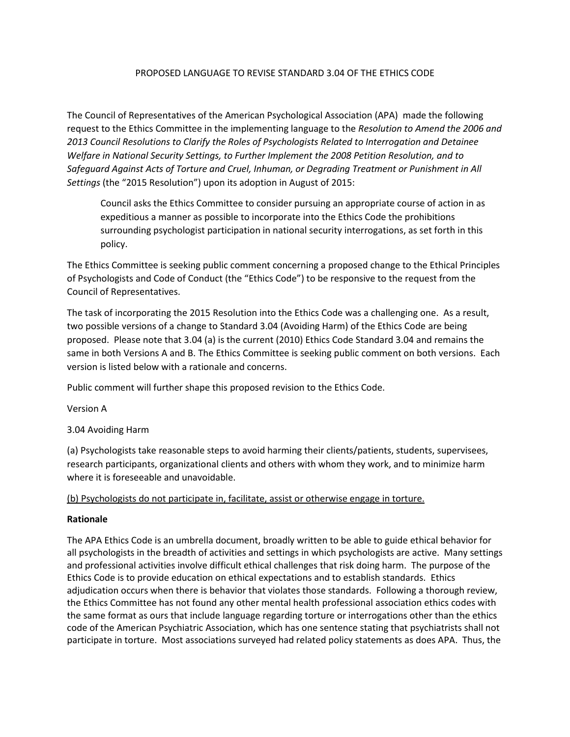# PROPOSED LANGUAGE TO REVISE STANDARD 3.04 OF THE ETHICS CODE

The Council of Representatives of the American Psychological Association (APA) made the following request to the Ethics Committee in the implementing language to the *Resolution to Amend the 2006 and 2013 Council Resolutions to Clarify the Roles of Psychologists Related to Interrogation and Detainee Welfare in National Security Settings, to Further Implement the 2008 Petition Resolution, and to Safeguard Against Acts of Torture and Cruel, Inhuman, or Degrading Treatment or Punishment in All Settings* (the "2015 Resolution") upon its adoption in August of 2015:

Council asks the Ethics Committee to consider pursuing an appropriate course of action in as expeditious a manner as possible to incorporate into the Ethics Code the prohibitions surrounding psychologist participation in national security interrogations, as set forth in this policy.

The Ethics Committee is seeking public comment concerning a proposed change to the Ethical Principles of Psychologists and Code of Conduct (the "Ethics Code") to be responsive to the request from the Council of Representatives.

The task of incorporating the 2015 Resolution into the Ethics Code was a challenging one. As a result, two possible versions of a change to Standard 3.04 (Avoiding Harm) of the Ethics Code are being proposed. Please note that 3.04 (a) is the current (2010) Ethics Code Standard 3.04 and remains the same in both Versions A and B. The Ethics Committee is seeking public comment on both versions. Each version is listed below with a rationale and concerns.

Public comment will further shape this proposed revision to the Ethics Code.

Version A

3.04 Avoiding Harm

(a) Psychologists take reasonable steps to avoid harming their clients/patients, students, supervisees, research participants, organizational clients and others with whom they work, and to minimize harm where it is foreseeable and unavoidable.

## (b) Psychologists do not participate in, facilitate, assist or otherwise engage in torture.

## **Rationale**

The APA Ethics Code is an umbrella document, broadly written to be able to guide ethical behavior for all psychologists in the breadth of activities and settings in which psychologists are active. Many settings and professional activities involve difficult ethical challenges that risk doing harm. The purpose of the Ethics Code is to provide education on ethical expectations and to establish standards. Ethics adjudication occurs when there is behavior that violates those standards. Following a thorough review, the Ethics Committee has not found any other mental health professional association ethics codes with the same format as ours that include language regarding torture or interrogations other than the ethics code of the American Psychiatric Association, which has one sentence stating that psychiatrists shall not participate in torture. Most associations surveyed had related policy statements as does APA. Thus, the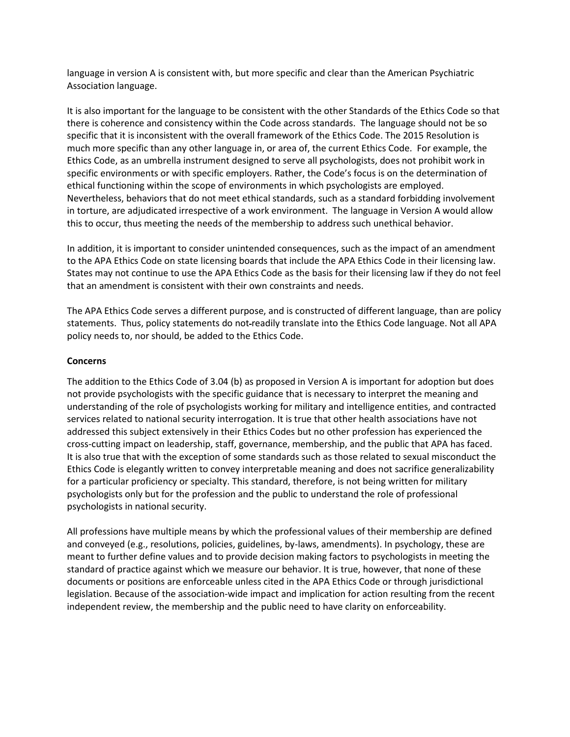language in version A is consistent with, but more specific and clear than the American Psychiatric Association language.

It is also important for the language to be consistent with the other Standards of the Ethics Code so that there is coherence and consistency within the Code across standards. The language should not be so specific that it is inconsistent with the overall framework of the Ethics Code. The 2015 Resolution is much more specific than any other language in, or area of, the current Ethics Code. For example, the Ethics Code, as an umbrella instrument designed to serve all psychologists, does not prohibit work in specific environments or with specific employers. Rather, the Code's focus is on the determination of ethical functioning within the scope of environments in which psychologists are employed. Nevertheless, behaviors that do not meet ethical standards, such as a standard forbidding involvement in torture, are adjudicated irrespective of a work environment. The language in Version A would allow this to occur, thus meeting the needs of the membership to address such unethical behavior.

In addition, it is important to consider unintended consequences, such as the impact of an amendment to the APA Ethics Code on state licensing boards that include the APA Ethics Code in their licensing law. States may not continue to use the APA Ethics Code as the basis for their licensing law if they do not feel that an amendment is consistent with their own constraints and needs.

The APA Ethics Code serves a different purpose, and is constructed of different language, than are policy statements. Thus, policy statements do not readily translate into the Ethics Code language. Not all APA policy needs to, nor should, be added to the Ethics Code.

## **Concerns**

The addition to the Ethics Code of 3.04 (b) as proposed in Version A is important for adoption but does not provide psychologists with the specific guidance that is necessary to interpret the meaning and understanding of the role of psychologists working for military and intelligence entities, and contracted services related to national security interrogation. It is true that other health associations have not addressed this subject extensively in their Ethics Codes but no other profession has experienced the cross-cutting impact on leadership, staff, governance, membership, and the public that APA has faced. It is also true that with the exception of some standards such as those related to sexual misconduct the Ethics Code is elegantly written to convey interpretable meaning and does not sacrifice generalizability for a particular proficiency or specialty. This standard, therefore, is not being written for military psychologists only but for the profession and the public to understand the role of professional psychologists in national security.

All professions have multiple means by which the professional values of their membership are defined and conveyed (e.g., resolutions, policies, guidelines, by-laws, amendments). In psychology, these are meant to further define values and to provide decision making factors to psychologists in meeting the standard of practice against which we measure our behavior. It is true, however, that none of these documents or positions are enforceable unless cited in the APA Ethics Code or through jurisdictional legislation. Because of the association-wide impact and implication for action resulting from the recent independent review, the membership and the public need to have clarity on enforceability.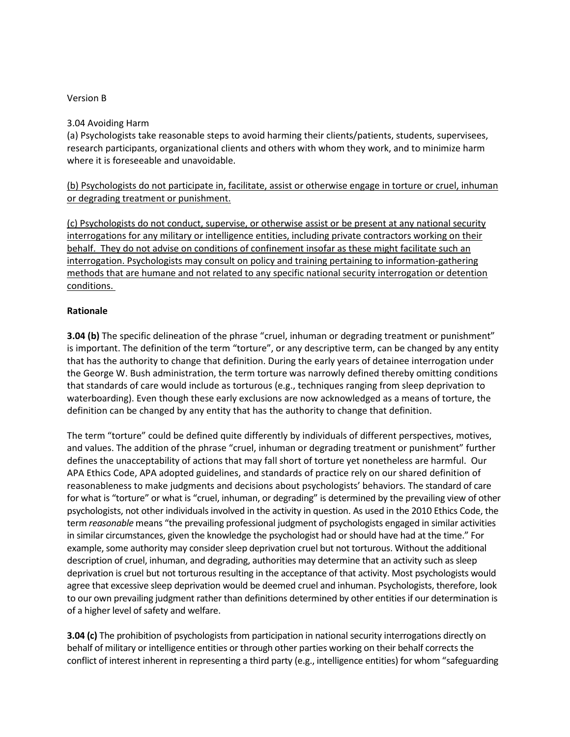### Version B

### 3.04 Avoiding Harm

(a) Psychologists take reasonable steps to avoid harming their clients/patients, students, supervisees, research participants, organizational clients and others with whom they work, and to minimize harm where it is foreseeable and unavoidable.

(b) Psychologists do not participate in, facilitate, assist or otherwise engage in torture or cruel, inhuman or degrading treatment or punishment.

(c) Psychologists do not conduct, supervise, or otherwise assist or be present at any national security interrogations for any military or intelligence entities, including private contractors working on their behalf. They do not advise on conditions of confinement insofar as these might facilitate such an interrogation. Psychologists may consult on policy and training pertaining to information-gathering methods that are humane and not related to any specific national security interrogation or detention conditions.

#### **Rationale**

**3.04 (b)** The specific delineation of the phrase "cruel, inhuman or degrading treatment or punishment" is important. The definition of the term "torture", or any descriptive term, can be changed by any entity that has the authority to change that definition. During the early years of detainee interrogation under the George W. Bush administration, the term torture was narrowly defined thereby omitting conditions that standards of care would include as torturous (e.g., techniques ranging from sleep deprivation to waterboarding). Even though these early exclusions are now acknowledged as a means of torture, the definition can be changed by any entity that has the authority to change that definition.

The term "torture" could be defined quite differently by individuals of different perspectives, motives, and values. The addition of the phrase "cruel, inhuman or degrading treatment or punishment" further defines the unacceptability of actions that may fall short of torture yet nonetheless are harmful. Our APA Ethics Code, APA adopted guidelines, and standards of practice rely on our shared definition of reasonableness to make judgments and decisions about psychologists' behaviors. The standard of care for what is "torture" or what is "cruel, inhuman, or degrading" is determined by the prevailing view of other psychologists, not other individuals involved in the activity in question. As used in the 2010 Ethics Code, the term *reasonable* means "the prevailing professional judgment of psychologists engaged in similar activities in similar circumstances, given the knowledge the psychologist had or should have had at the time." For example, some authority may consider sleep deprivation cruel but not torturous. Without the additional description of cruel, inhuman, and degrading, authorities may determine that an activity such as sleep deprivation is cruel but not torturous resulting in the acceptance of that activity. Most psychologists would agree that excessive sleep deprivation would be deemed cruel and inhuman. Psychologists, therefore, look to our own prevailing judgment rather than definitions determined by other entities if our determination is of a higher level of safety and welfare.

**3.04 (c)** The prohibition of psychologists from participation in national security interrogations directly on behalf of military or intelligence entities or through other parties working on their behalf corrects the conflict of interest inherent in representing a third party (e.g., intelligence entities) for whom "safeguarding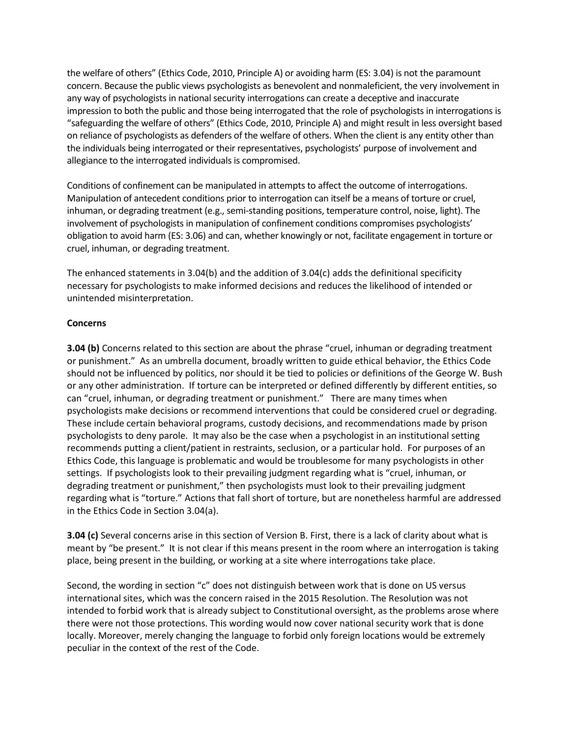the welfare of others" (Ethics Code, 2010, Principle A) or avoiding harm (ES: 3.04) is not the paramount concern. Because the public views psychologists as benevolent and nonmaleficient, the very involvement in any way of psychologists in national security interrogations can create a deceptive and inaccurate impression to both the public and those being interrogated that the role of psychologists in interrogations is "safeguarding the welfare of others" (Ethics Code, 2010, Principle A) and might result in less oversight based on reliance of psychologists as defenders of the welfare of others. When the client is any entity other than the individuals being interrogated or their representatives, psychologists' purpose of involvement and allegiance to the interrogated individuals is compromised.

Conditions of confinement can be manipulated in attempts to affect the outcome of interrogations. Manipulation of antecedent conditions prior to interrogation can itself be a means of torture or cruel, inhuman, or degrading treatment (e.g., semi-standing positions, temperature control, noise, light). The involvement of psychologists in manipulation of confinement conditions compromises psychologists' obligation to avoid harm (ES: 3.06) and can, whether knowingly or not, facilitate engagement in torture or cruel, inhuman, or degrading treatment.

The enhanced statements in 3.04(b) and the addition of 3.04(c) adds the definitional specificity necessary for psychologists to make informed decisions and reduces the likelihood of intended or unintended misinterpretation.

## **Concerns**

**3.04 (b)** Concerns related to this section are about the phrase "cruel, inhuman or degrading treatment or punishment." As an umbrella document, broadly written to guide ethical behavior, the Ethics Code should not be influenced by politics, nor should it be tied to policies or definitions of the George W. Bush or any other administration. If torture can be interpreted or defined differently by different entities, so can "cruel, inhuman, or degrading treatment or punishment." There are many times when psychologists make decisions or recommend interventions that could be considered cruel or degrading. These include certain behavioral programs, custody decisions, and recommendations made by prison psychologists to deny parole. It may also be the case when a psychologist in an institutional setting recommends putting a client/patient in restraints, seclusion, or a particular hold. For purposes of an Ethics Code, this language is problematic and would be troublesome for many psychologists in other settings. If psychologists look to their prevailing judgment regarding what is "cruel, inhuman, or degrading treatment or punishment," then psychologists must look to their prevailing judgment regarding what is "torture." Actions that fall short of torture, but are nonetheless harmful are addressed in the Ethics Code in Section 3.04(a).

**3.04 (c)** Several concerns arise in this section of Version B. First, there is a lack of clarity about what is meant by "be present." It is not clear if this means present in the room where an interrogation is taking place, being present in the building, or working at a site where interrogations take place.

Second, the wording in section "c" does not distinguish between work that is done on US versus international sites, which was the concern raised in the 2015 Resolution. The Resolution was not intended to forbid work that is already subject to Constitutional oversight, as the problems arose where there were not those protections. This wording would now cover national security work that is done locally. Moreover, merely changing the language to forbid only foreign locations would be extremely peculiar in the context of the rest of the Code.